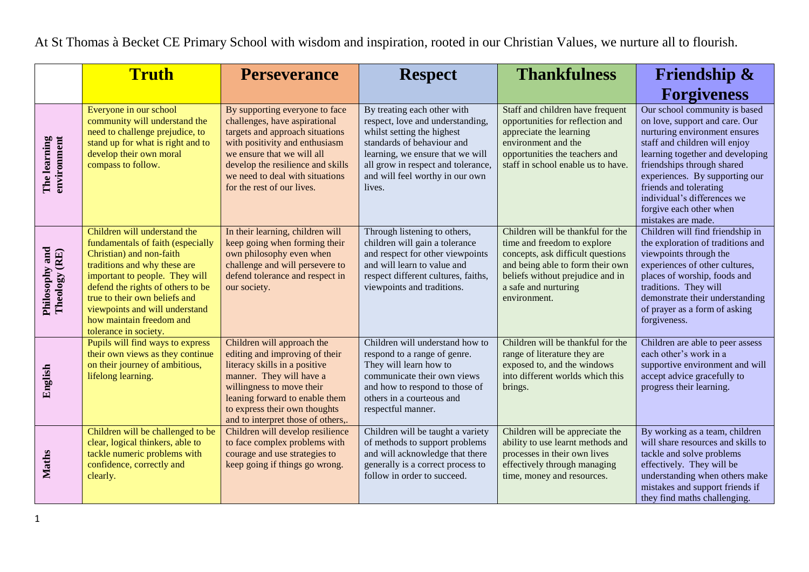At St Thomas à Becket CE Primary School with wisdom and inspiration, rooted in our Christian Values, we nurture all to flourish.

|                                 | <b>Truth</b>                                                                                                                                                                                                                                                                                                                 | <b>Perseverance</b>                                                                                                                                                                                                                                                      | <b>Respect</b>                                                                                                                                                                                                                                     | <b>Thankfulness</b>                                                                                                                                                                                                   | <b>Friendship &amp;</b><br><b>Forgiveness</b>                                                                                                                                                                                                                                                                                                   |
|---------------------------------|------------------------------------------------------------------------------------------------------------------------------------------------------------------------------------------------------------------------------------------------------------------------------------------------------------------------------|--------------------------------------------------------------------------------------------------------------------------------------------------------------------------------------------------------------------------------------------------------------------------|----------------------------------------------------------------------------------------------------------------------------------------------------------------------------------------------------------------------------------------------------|-----------------------------------------------------------------------------------------------------------------------------------------------------------------------------------------------------------------------|-------------------------------------------------------------------------------------------------------------------------------------------------------------------------------------------------------------------------------------------------------------------------------------------------------------------------------------------------|
| The learning<br>environment     | Everyone in our school<br>community will understand the<br>need to challenge prejudice, to<br>stand up for what is right and to<br>develop their own moral<br>compass to follow.                                                                                                                                             | By supporting everyone to face<br>challenges, have aspirational<br>targets and approach situations<br>with positivity and enthusiasm<br>we ensure that we will all<br>develop the resilience and skills<br>we need to deal with situations<br>for the rest of our lives. | By treating each other with<br>respect, love and understanding,<br>whilst setting the highest<br>standards of behaviour and<br>learning, we ensure that we will<br>all grow in respect and tolerance,<br>and will feel worthy in our own<br>lives. | Staff and children have frequent<br>opportunities for reflection and<br>appreciate the learning<br>environment and the<br>opportunities the teachers and<br>staff in school enable us to have.                        | Our school community is based<br>on love, support and care. Our<br>nurturing environment ensures<br>staff and children will enjoy<br>learning together and developing<br>friendships through shared<br>experiences. By supporting our<br>friends and tolerating<br>individual's differences we<br>forgive each other when<br>mistakes are made. |
| Philosophy and<br>Theology (RE) | Children will understand the<br>fundamentals of faith (especially<br>Christian) and non-faith<br>traditions and why these are<br>important to people. They will<br>defend the rights of others to be<br>true to their own beliefs and<br>viewpoints and will understand<br>how maintain freedom and<br>tolerance in society. | In their learning, children will<br>keep going when forming their<br>own philosophy even when<br>challenge and will persevere to<br>defend tolerance and respect in<br>our society.                                                                                      | Through listening to others,<br>children will gain a tolerance<br>and respect for other viewpoints<br>and will learn to value and<br>respect different cultures, faiths,<br>viewpoints and traditions.                                             | Children will be thankful for the<br>time and freedom to explore<br>concepts, ask difficult questions<br>and being able to form their own<br>beliefs without prejudice and in<br>a safe and nurturing<br>environment. | Children will find friendship in<br>the exploration of traditions and<br>viewpoints through the<br>experiences of other cultures,<br>places of worship, foods and<br>traditions. They will<br>demonstrate their understanding<br>of prayer as a form of asking<br>forgiveness.                                                                  |
| English                         | Pupils will find ways to express<br>their own views as they continue<br>on their journey of ambitious,<br>lifelong learning.                                                                                                                                                                                                 | Children will approach the<br>editing and improving of their<br>literacy skills in a positive<br>manner. They will have a<br>willingness to move their<br>leaning forward to enable them<br>to express their own thoughts<br>and to interpret those of others,.          | Children will understand how to<br>respond to a range of genre.<br>They will learn how to<br>communicate their own views<br>and how to respond to those of<br>others in a courteous and<br>respectful manner.                                      | Children will be thankful for the<br>range of literature they are<br>exposed to, and the windows<br>into different worlds which this<br>brings.                                                                       | Children are able to peer assess<br>each other's work in a<br>supportive environment and will<br>accept advice gracefully to<br>progress their learning.                                                                                                                                                                                        |
| <b>Maths</b>                    | Children will be challenged to be<br>clear, logical thinkers, able to<br>tackle numeric problems with<br>confidence, correctly and<br>clearly.                                                                                                                                                                               | Children will develop resilience<br>to face complex problems with<br>courage and use strategies to<br>keep going if things go wrong.                                                                                                                                     | Children will be taught a variety<br>of methods to support problems<br>and will acknowledge that there<br>generally is a correct process to<br>follow in order to succeed.                                                                         | Children will be appreciate the<br>ability to use learnt methods and<br>processes in their own lives<br>effectively through managing<br>time, money and resources.                                                    | By working as a team, children<br>will share resources and skills to<br>tackle and solve problems<br>effectively. They will be<br>understanding when others make<br>mistakes and support friends if<br>they find maths challenging.                                                                                                             |